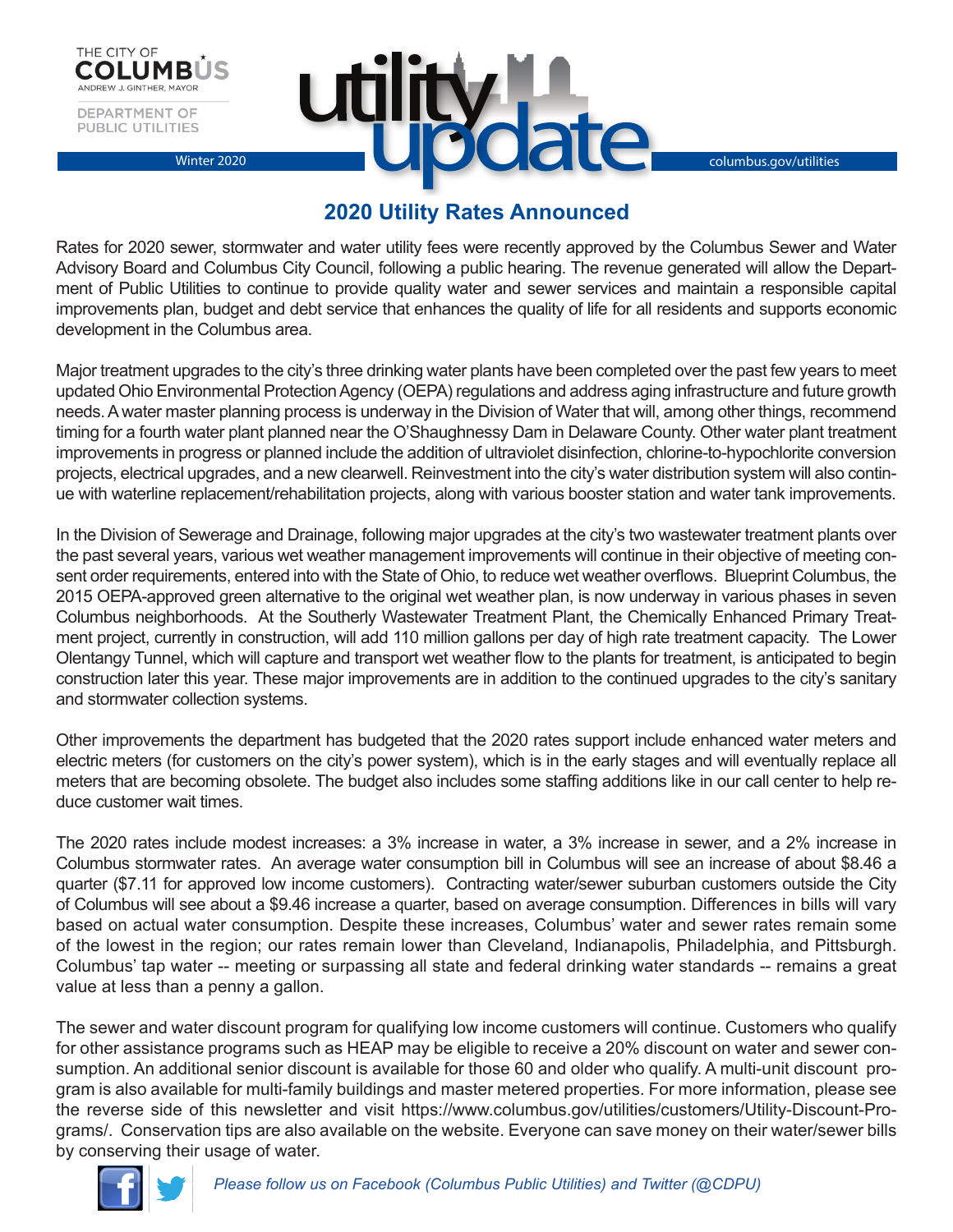



## **2020 Utility Rates Announced**

Rates for 2020 sewer, stormwater and water utility fees were recently approved by the Columbus Sewer and Water Advisory Board and Columbus City Council, following a public hearing. The revenue generated will allow the Department of Public Utilities to continue to provide quality water and sewer services and maintain a responsible capital improvements plan, budget and debt service that enhances the quality of life for all residents and supports economic development in the Columbus area.

Major treatment upgrades to the city's three drinking water plants have been completed over the past few years to meet updated Ohio Environmental Protection Agency (OEPA) regulations and address aging infrastructure and future growth needs. A water master planning process is underway in the Division of Water that will, among other things, recommend timing for a fourth water plant planned near the O'Shaughnessy Dam in Delaware County. Other water plant treatment improvements in progress or planned include the addition of ultraviolet disinfection, chlorine-to-hypochlorite conversion projects, electrical upgrades, and a new clearwell. Reinvestment into the city's water distribution system will also continue with waterline replacement/rehabilitation projects, along with various booster station and water tank improvements.

In the Division of Sewerage and Drainage, following major upgrades at the city's two wastewater treatment plants over the past several years, various wet weather management improvements will continue in their objective of meeting consent order requirements, entered into with the State of Ohio, to reduce wet weather overflows. Blueprint Columbus, the 2015 OEPA-approved green alternative to the original wet weather plan, is now underway in various phases in seven Columbus neighborhoods. At the Southerly Wastewater Treatment Plant, the Chemically Enhanced Primary Treatment project, currently in construction, will add 110 million gallons per day of high rate treatment capacity. The Lower Olentangy Tunnel, which will capture and transport wet weather flow to the plants for treatment, is anticipated to begin construction later this year. These major improvements are in addition to the continued upgrades to the city's sanitary and stormwater collection systems.

Other improvements the department has budgeted that the 2020 rates support include enhanced water meters and electric meters (for customers on the city's power system), which is in the early stages and will eventually replace all meters that are becoming obsolete. The budget also includes some staffing additions like in our call center to help reduce customer wait times.

The 2020 rates include modest increases: a 3% increase in water, a 3% increase in sewer, and a 2% increase in Columbus stormwater rates. An average water consumption bill in Columbus will see an increase of about \$8.46 a quarter (\$7.11 for approved low income customers). Contracting water/sewer suburban customers outside the City of Columbus will see about a \$9.46 increase a quarter, based on average consumption. Differences in bills will vary based on actual water consumption. Despite these increases, Columbus' water and sewer rates remain some of the lowest in the region; our rates remain lower than Cleveland, Indianapolis, Philadelphia, and Pittsburgh. Columbus' tap water -- meeting or surpassing all state and federal drinking water standards -- remains a great value at less than a penny a gallon.

The sewer and water discount program for qualifying low income customers will continue. Customers who qualify for other assistance programs such as HEAP may be eligible to receive a 20% discount on water and sewer consumption. An additional senior discount is available for those 60 and older who qualify. A multi-unit discount program is also available for multi-family buildings and master metered properties. For more information, please see the reverse side of this newsletter and visit https://www.columbus.gov/utilities/customers/Utility-Discount-Programs/. Conservation tips are also available on the website. Everyone can save money on their water/sewer bills by conserving their usage of water.